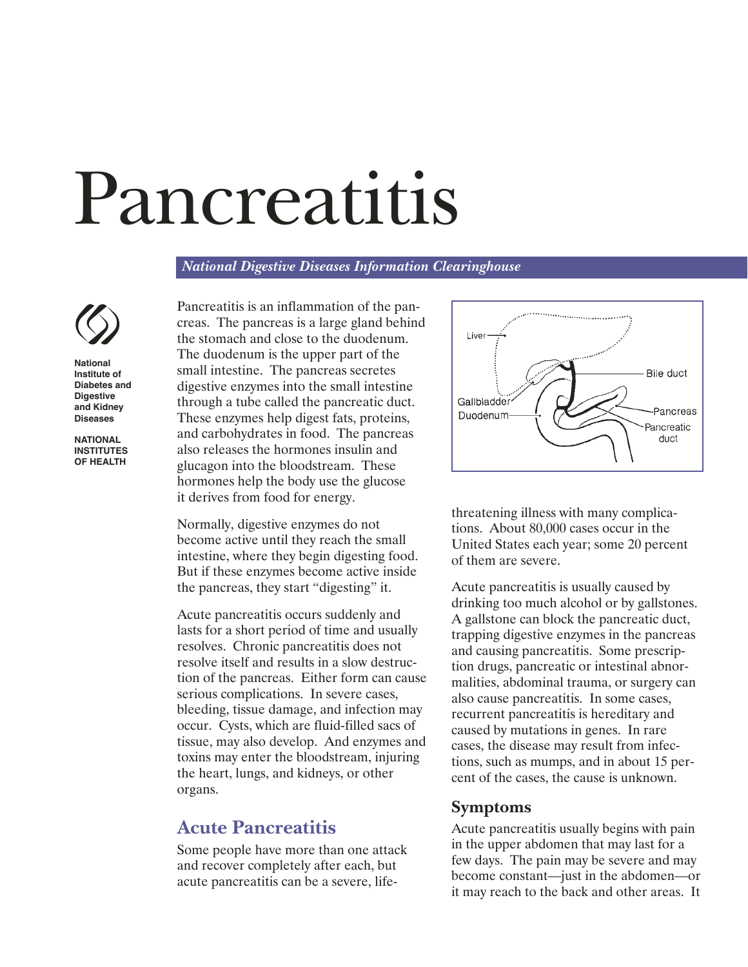# Pancreatitis

#### *National Digestive Diseases Information Clearinghouse*



**National Institute of Diabetes and Digestive and Kidney Diseases**

**NATIONAL INSTITUTES OF HEALTH** Pancreatitis is an inflammation of the pancreas. The pancreas is a large gland behind the stomach and close to the duodenum. The duodenum is the upper part of the small intestine. The pancreas secretes digestive enzymes into the small intestine through a tube called the pancreatic duct. These enzymes help digest fats, proteins, and carbohydrates in food. The pancreas also releases the hormones insulin and glucagon into the bloodstream. These hormones help the body use the glucose it derives from food for energy.

Normally, digestive enzymes do not become active until they reach the small intestine, where they begin digesting food. But if these enzymes become active inside the pancreas, they start "digesting" it.

Acute pancreatitis occurs suddenly and lasts for a short period of time and usually resolves. Chronic pancreatitis does not resolve itself and results in a slow destruction of the pancreas. Either form can cause serious complications. In severe cases, bleeding, tissue damage, and infection may occur. Cysts, which are fluid-filled sacs of tissue, may also develop. And enzymes and toxins may enter the bloodstream, injuring the heart, lungs, and kidneys, or other organs.

## **Acute Pancreatitis**

Some people have more than one attack and recover completely after each, but acute pancreatitis can be a severe, life-



threatening illness with many complications. About 80,000 cases occur in the United States each year; some 20 percent of them are severe.

Acute pancreatitis is usually caused by drinking too much alcohol or by gallstones. A gallstone can block the pancreatic duct, trapping digestive enzymes in the pancreas and causing pancreatitis. Some prescription drugs, pancreatic or intestinal abnormalities, abdominal trauma, or surgery can also cause pancreatitis. In some cases, recurrent pancreatitis is hereditary and caused by mutations in genes. In rare cases, the disease may result from infections, such as mumps, and in about 15 percent of the cases, the cause is unknown.

## **Symptoms**

Acute pancreatitis usually begins with pain in the upper abdomen that may last for a few days. The pain may be severe and may become constant—just in the abdomen—or it may reach to the back and other areas. It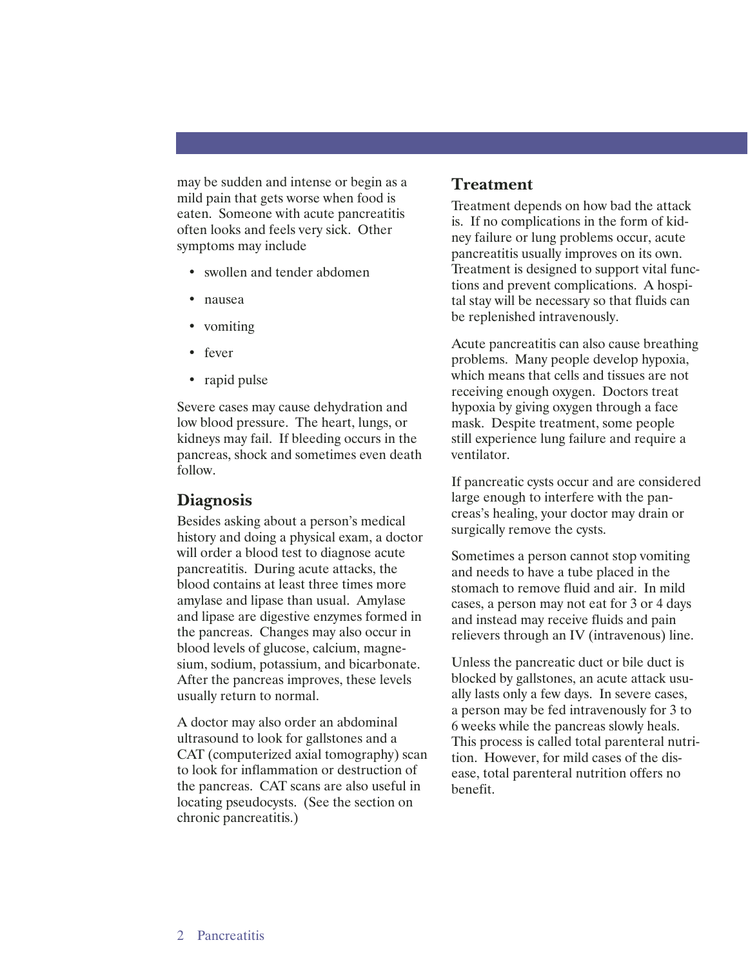may be sudden and intense or begin as a mild pain that gets worse when food is eaten. Someone with acute pancreatitis often looks and feels very sick. Other symptoms may include

- swollen and tender abdomen
- nausea
- vomiting
- fever
- rapid pulse

Severe cases may cause dehydration and low blood pressure. The heart, lungs, or kidneys may fail. If bleeding occurs in the pancreas, shock and sometimes even death follow.

## **Diagnosis**

Besides asking about a person's medical history and doing a physical exam, a doctor will order a blood test to diagnose acute pancreatitis. During acute attacks, the blood contains at least three times more amylase and lipase than usual. Amylase and lipase are digestive enzymes formed in the pancreas. Changes may also occur in blood levels of glucose, calcium, magnesium, sodium, potassium, and bicarbonate. After the pancreas improves, these levels usually return to normal.

A doctor may also order an abdominal ultrasound to look for gallstones and a CAT (computerized axial tomography) scan to look for inflammation or destruction of the pancreas. CAT scans are also useful in locating pseudocysts. (See the section on chronic pancreatitis.)

#### **Treatment**

Treatment depends on how bad the attack is. If no complications in the form of kidney failure or lung problems occur, acute pancreatitis usually improves on its own. Treatment is designed to support vital functions and prevent complications. A hospital stay will be necessary so that fluids can be replenished intravenously.

Acute pancreatitis can also cause breathing problems. Many people develop hypoxia, which means that cells and tissues are not receiving enough oxygen. Doctors treat hypoxia by giving oxygen through a face mask. Despite treatment, some people still experience lung failure and require a ventilator.

If pancreatic cysts occur and are considered large enough to interfere with the pancreas's healing, your doctor may drain or surgically remove the cysts.

Sometimes a person cannot stop vomiting and needs to have a tube placed in the stomach to remove fluid and air. In mild cases, a person may not eat for 3 or 4 days and instead may receive fluids and pain relievers through an IV (intravenous) line.

Unless the pancreatic duct or bile duct is blocked by gallstones, an acute attack usually lasts only a few days. In severe cases, a person may be fed intravenously for 3 to 6 weeks while the pancreas slowly heals. This process is called total parenteral nutrition. However, for mild cases of the disease, total parenteral nutrition offers no benefit.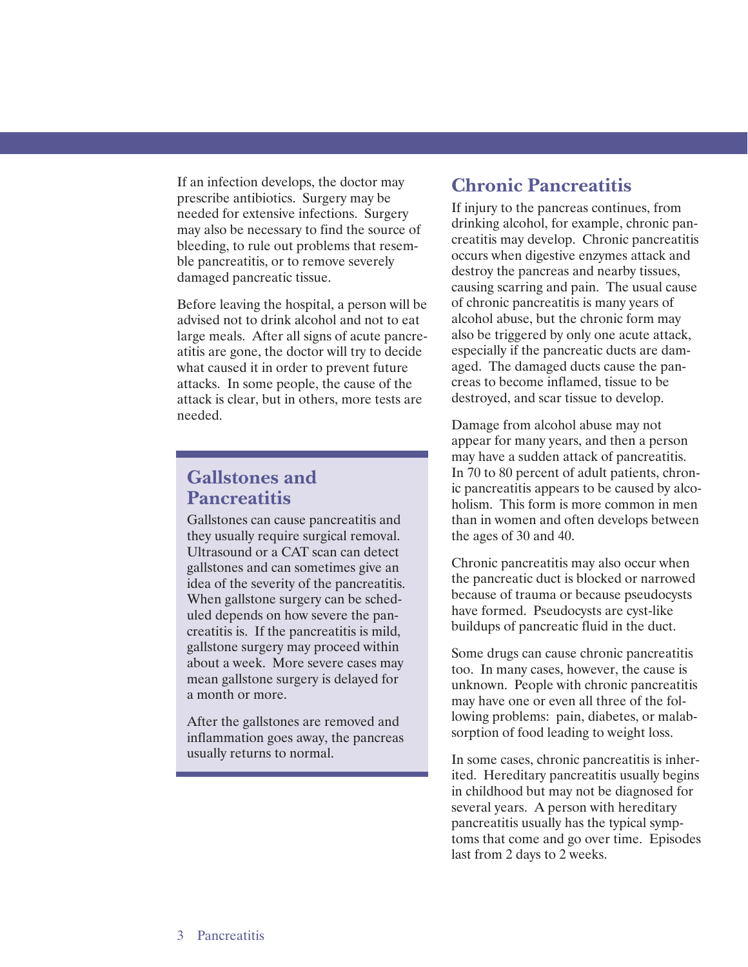If an infection develops, the doctor may prescribe antibiotics. Surgery may be needed for extensive infections. Surgery may also be necessary to find the source of bleeding, to rule out problems that resemble pancreatitis, or to remove severely damaged pancreatic tissue.

Before leaving the hospital, a person will be advised not to drink alcohol and not to eat large meals. After all signs of acute pancreatitis are gone, the doctor will try to decide what caused it in order to prevent future attacks. In some people, the cause of the attack is clear, but in others, more tests are needed.

## **Gallstones and Pancreatitis**

Gallstones can cause pancreatitis and they usually require surgical removal. Ultrasound or a CAT scan can detect gallstones and can sometimes give an idea of the severity of the pancreatitis. When gallstone surgery can be scheduled depends on how severe the pancreatitis is. If the pancreatitis is mild, gallstone surgery may proceed within about a week. More severe cases may mean gallstone surgery is delayed for a month or more.

After the gallstones are removed and inflammation goes away, the pancreas usually returns to normal.

# **Chronic Pancreatitis**

If injury to the pancreas continues, from drinking alcohol, for example, chronic pancreatitis may develop. Chronic pancreatitis occurs when digestive enzymes attack and destroy the pancreas and nearby tissues, causing scarring and pain. The usual cause of chronic pancreatitis is many years of alcohol abuse, but the chronic form may also be triggered by only one acute attack, especially if the pancreatic ducts are damaged. The damaged ducts cause the pancreas to become inflamed, tissue to be destroyed, and scar tissue to develop.

Damage from alcohol abuse may not appear for many years, and then a person may have a sudden attack of pancreatitis. In 70 to 80 percent of adult patients, chronic pancreatitis appears to be caused by alcoholism. This form is more common in men than in women and often develops between the ages of 30 and 40.

Chronic pancreatitis may also occur when the pancreatic duct is blocked or narrowed because of trauma or because pseudocysts have formed. Pseudocysts are cyst-like buildups of pancreatic fluid in the duct.

Some drugs can cause chronic pancreatitis too. In many cases, however, the cause is unknown. People with chronic pancreatitis may have one or even all three of the following problems: pain, diabetes, or malabsorption of food leading to weight loss.

In some cases, chronic pancreatitis is inherited. Hereditary pancreatitis usually begins in childhood but may not be diagnosed for several years. A person with hereditary pancreatitis usually has the typical symptoms that come and go over time. Episodes last from 2 days to 2 weeks.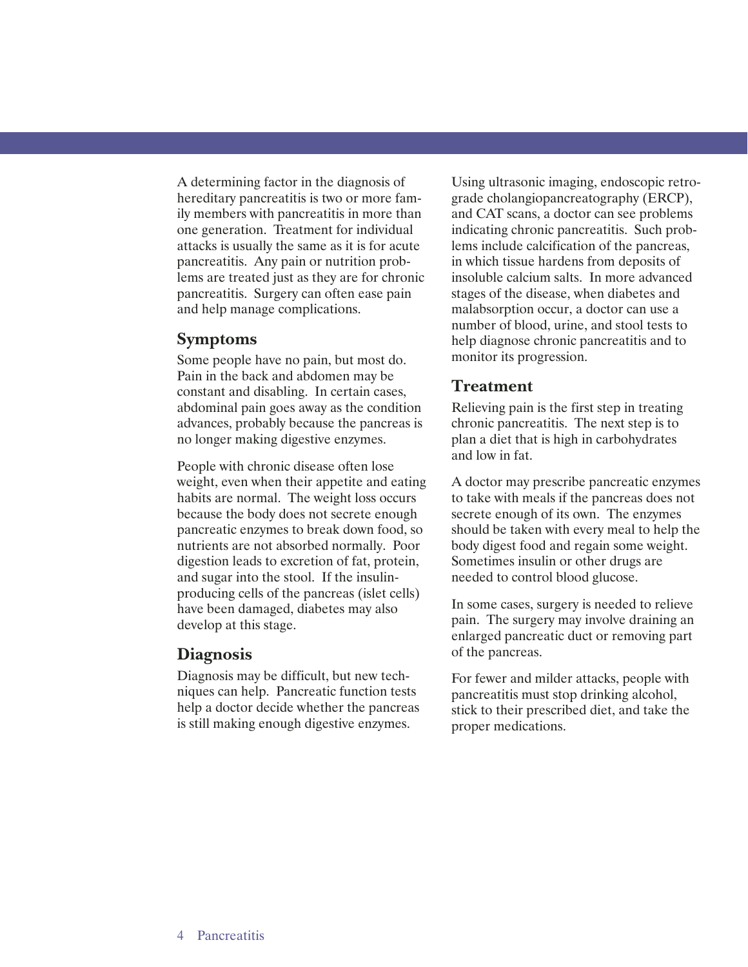A determining factor in the diagnosis of hereditary pancreatitis is two or more family members with pancreatitis in more than one generation. Treatment for individual attacks is usually the same as it is for acute pancreatitis. Any pain or nutrition problems are treated just as they are for chronic pancreatitis. Surgery can often ease pain and help manage complications.

#### **Symptoms**

Some people have no pain, but most do. Pain in the back and abdomen may be constant and disabling. In certain cases, abdominal pain goes away as the condition advances, probably because the pancreas is no longer making digestive enzymes.

People with chronic disease often lose weight, even when their appetite and eating habits are normal. The weight loss occurs because the body does not secrete enough pancreatic enzymes to break down food, so nutrients are not absorbed normally. Poor digestion leads to excretion of fat, protein, and sugar into the stool. If the insulinproducing cells of the pancreas (islet cells) have been damaged, diabetes may also develop at this stage.

## **Diagnosis**

Diagnosis may be difficult, but new techniques can help. Pancreatic function tests help a doctor decide whether the pancreas is still making enough digestive enzymes.

Using ultrasonic imaging, endoscopic retrograde cholangiopancreatography (ERCP), and CAT scans, a doctor can see problems indicating chronic pancreatitis. Such problems include calcification of the pancreas, in which tissue hardens from deposits of insoluble calcium salts. In more advanced stages of the disease, when diabetes and malabsorption occur, a doctor can use a number of blood, urine, and stool tests to help diagnose chronic pancreatitis and to monitor its progression.

### **Treatment**

Relieving pain is the first step in treating chronic pancreatitis. The next step is to plan a diet that is high in carbohydrates and low in fat.

A doctor may prescribe pancreatic enzymes to take with meals if the pancreas does not secrete enough of its own. The enzymes should be taken with every meal to help the body digest food and regain some weight. Sometimes insulin or other drugs are needed to control blood glucose.

In some cases, surgery is needed to relieve pain. The surgery may involve draining an enlarged pancreatic duct or removing part of the pancreas.

For fewer and milder attacks, people with pancreatitis must stop drinking alcohol, stick to their prescribed diet, and take the proper medications.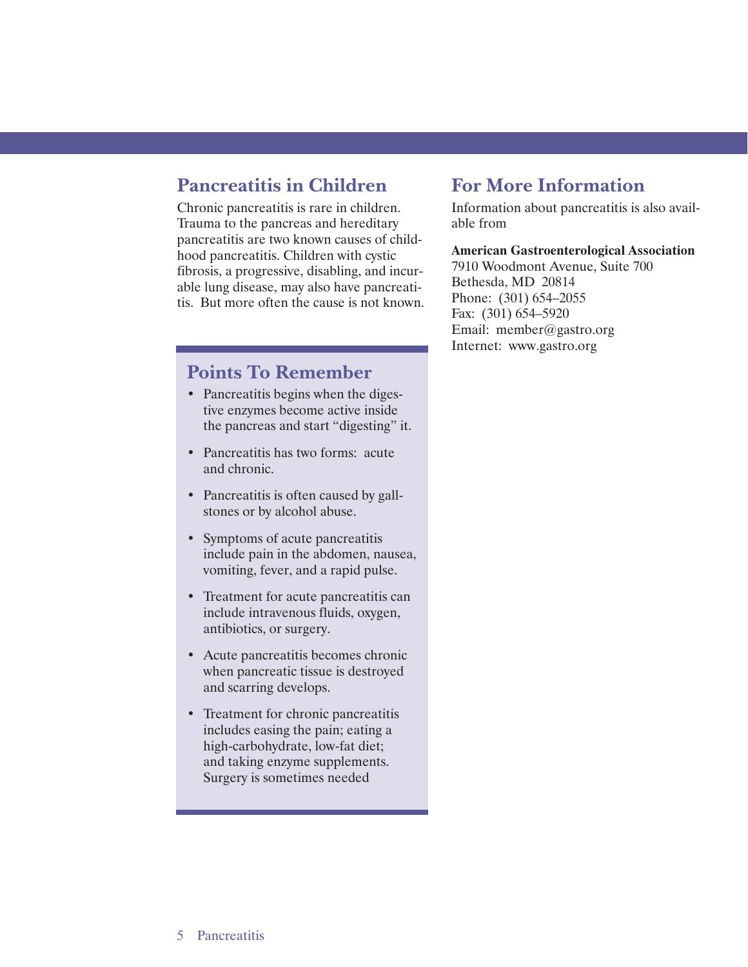# **Pancreatitis in Children**

Chronic pancreatitis is rare in children. Trauma to the pancreas and hereditary pancreatitis are two known causes of childhood pancreatitis. Children with cystic fibrosis, a progressive, disabling, and incurable lung disease, may also have pancreatitis. But more often the cause is not known.

# **Points To Remember**

- Pancreatitis begins when the digestive enzymes become active inside the pancreas and start "digesting" it.
- Pancreatitis has two forms: acute and chronic.
- Pancreatitis is often caused by gallstones or by alcohol abuse.
- Symptoms of acute pancreatitis include pain in the abdomen, nausea, vomiting, fever, and a rapid pulse.
- Treatment for acute pancreatitis can include intravenous fluids, oxygen, antibiotics, or surgery.
- Acute pancreatitis becomes chronic when pancreatic tissue is destroyed and scarring develops.
- Treatment for chronic pancreatitis includes easing the pain; eating a high-carbohydrate, low-fat diet; and taking enzyme supplements. Surgery is sometimes needed

# **For More Information**

Information about pancreatitis is also available from

#### **American Gastroenterological Association**

7910 Woodmont Avenue, Suite 700 Bethesda, MD 20814 Phone: (301) 654–2055 Fax: (301) 654–5920 Email: member@gastro.org Internet: www.gastro.org